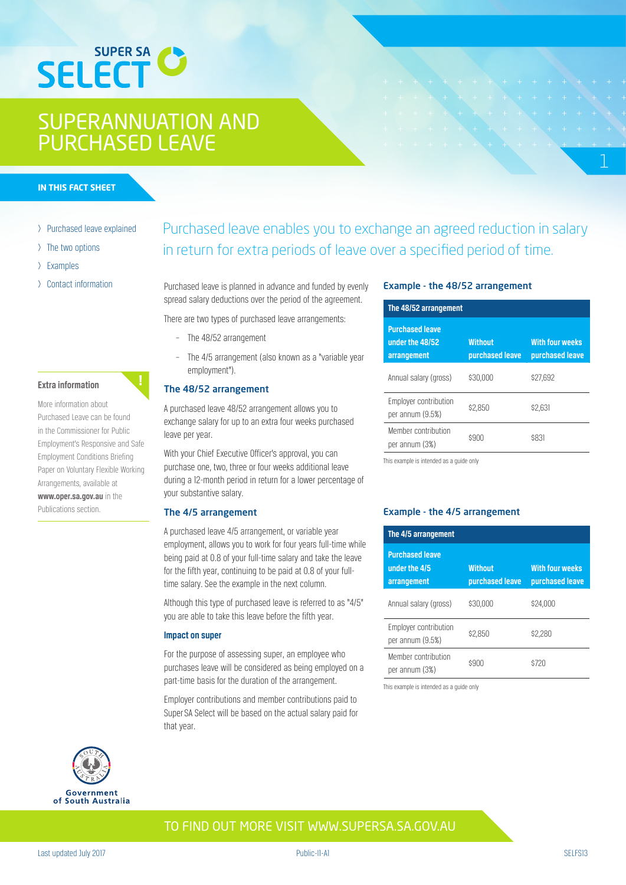# **SUPER SA SELECT**

## SUPERANNUATION AND PURCHASED LEAVE

#### **IN THIS FACT SHEET**

- > Purchased leave explained
- > The two options
- > Examples
- > Contact information

#### **Extra information**

More information about Purchased Leave can be found in the Commissioner for Public Employment's Responsive and Safe Employment Conditions Briefing Paper on Voluntary Flexible Working Arrangements, available at **www.oper.sa.gov.au** in the Publications section.

### Purchased leave enables you to exchange an agreed reduction in salary in return for extra periods of leave over a specified period of time.

Purchased leave is planned in advance and funded by evenly spread salary deductions over the period of the agreement.

There are two types of purchased leave arrangements:

- The 48/52 arrangement
- The 4/5 arrangement (also known as a "variable year employment").

### The 48/52 arrangement

A purchased leave 48/52 arrangement allows you to exchange salary for up to an extra four weeks purchased leave per year.

With your Chief Executive Officer's approval, you can purchase one, two, three or four weeks additional leave during a 12-month period in return for a lower percentage of your substantive salary.

#### The 4/5 arrangement

A purchased leave 4/5 arrangement, or variable year employment, allows you to work for four years full-time while being paid at 0.8 of your full-time salary and take the leave for the fifth year, continuing to be paid at 0.8 of your fulltime salary. See the example in the next column.

Although this type of purchased leave is referred to as "4/5" you are able to take this leave before the fifth year.

#### **Impact on super**

For the purpose of assessing super, an employee who purchases leave will be considered as being employed on a part-time basis for the duration of the arrangement.

Employer contributions and member contributions paid to Super SA Select will be based on the actual salary paid for that year.

#### Example - the 48/52 arrangement

| The 48/52 arrangement                                    |                                   |                                           |
|----------------------------------------------------------|-----------------------------------|-------------------------------------------|
| <b>Purchased leave</b><br>under the 48/52<br>arrangement | <b>Without</b><br>purchased leave | <b>With four weeks</b><br>purchased leave |
| Annual salary (gross)                                    | \$30,000                          | \$27.692                                  |
| Employer contribution<br>per annum (9.5%)                | \$2.850                           | \$2.631                                   |
| Member contribution<br>per annum (3%)                    | \$900                             | \$831                                     |

1

This example is intended as a guide only

#### Example - the 4/5 arrangement

| The 4/5 arrangement                                    |                                   |                                           |
|--------------------------------------------------------|-----------------------------------|-------------------------------------------|
| <b>Purchased leave</b><br>under the 4/5<br>arrangement | <b>Without</b><br>purchased leave | <b>With four weeks</b><br>purchased leave |
| Annual salary (gross)                                  | \$30,000                          | \$24.000                                  |
| Employer contribution<br>per annum (9.5%)              | \$2.850                           | \$2.280                                   |
| Member contribution<br>per annum (3%)                  | \$900                             | \$720                                     |

This example is intended as a guide only



### TO FIND OUT MORE VISIT WWW.SUPERSA.SA.GOV.AU